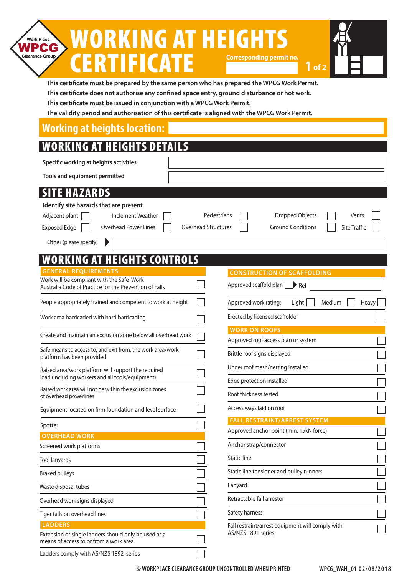#### WORKING AT HEIGHTS Work Place **WPCG CERTIFICATE** Clearance Group **Corresponding permit no.**

**1 of 2**

| This certificate must be prepared by the same person who has prepared the WPCG Work Permit.   |
|-----------------------------------------------------------------------------------------------|
| This certificate does not authorise any confined space entry, ground disturbance or hot work. |
| This certificate must be issued in conjunction with a WPCG Work Permit.                       |

**The validity period and authorisation of this certificate is aligned with the WPCG Work Permit.**

#### **Working at heights location:**

### WORKING AT HEIGHTS DETAILS

| WVKKINU AI MEIUMI) VEIAIL)                                                                              |                                                                               |
|---------------------------------------------------------------------------------------------------------|-------------------------------------------------------------------------------|
| Specific working at heights activities                                                                  |                                                                               |
| Tools and equipment permitted                                                                           |                                                                               |
| <b>SITE HAZARDS</b>                                                                                     |                                                                               |
| Identify site hazards that are present                                                                  |                                                                               |
| Adjacent plant<br><b>Inclement Weather</b>                                                              | Dropped Objects<br>Pedestrians<br>Vents                                       |
| <b>Overhead Power Lines</b><br><b>Exposed Edge</b>                                                      | <b>Overhead Structures</b><br><b>Ground Conditions</b><br><b>Site Traffic</b> |
| Other (please specify)                                                                                  |                                                                               |
| <b>WORKING AT HEIGHTS CONTROLS</b>                                                                      |                                                                               |
| <b>GENERAL REOUIREMENTS</b>                                                                             | <b>CONSTRUCTION OF SCAFFOLDING</b>                                            |
| Work will be compliant with the Safe Work<br>Australia Code of Practice for the Prevention of Falls     | Approved scaffold plan<br>$\blacktriangleright$ Ref                           |
| People appropriately trained and competent to work at height                                            | Approved work rating:<br>Light<br>Medium<br>Heavy                             |
| Work area barricaded with hard barricading                                                              | Erected by licensed scaffolder                                                |
| Create and maintain an exclusion zone below all overhead work                                           | <b>WORK ON ROOFS</b><br>Approved roof access plan or system                   |
| Safe means to access to, and exit from, the work area/work                                              | Brittle roof signs displayed                                                  |
| platform has been provided                                                                              |                                                                               |
| Raised area/work platform will support the required<br>load (including workers and all tools/equipment) | Under roof mesh/netting installed<br>Edge protection installed                |
| Raised work area will not be within the exclusion zones<br>of overhead powerlines                       | Roof thickness tested                                                         |
| Equipment located on firm foundation and level surface                                                  | Access ways laid on roof                                                      |
|                                                                                                         | <b>FALL RESTRAINT/ARREST SYSTEM</b>                                           |
| Spotter<br><b>OVERHEAD WORK</b>                                                                         | Approved anchor point (min. 15kN force)                                       |
| Screened work platforms                                                                                 | Anchor strap/connector                                                        |
| <b>Tool lanyards</b>                                                                                    | <b>Static line</b>                                                            |
| <b>Braked pulleys</b>                                                                                   | Static line tensioner and pulley runners                                      |
| Waste disposal tubes                                                                                    | Lanyard                                                                       |
| Overhead work signs displayed                                                                           | Retractable fall arrestor                                                     |
| Tiger tails on overhead lines                                                                           | Safety harness                                                                |
| <b>LADDERS</b>                                                                                          | Fall restraint/arrest equipment will comply with                              |
| Extension or single ladders should only be used as a<br>means of access to or from a work area          | AS/NZS 1891 series                                                            |

Ladders comply with AS/NZS 1892 series